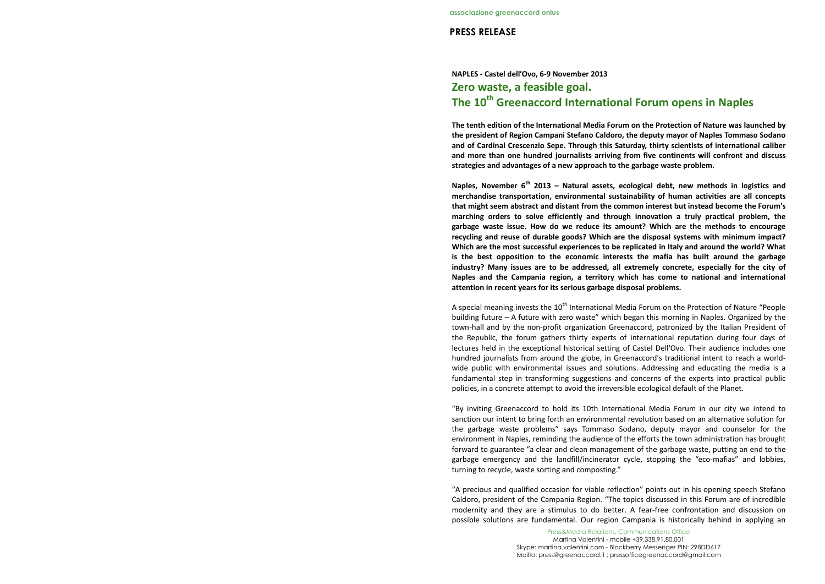## PRESS RELEASE

## NAPLES - Castel dell'Ovo, 6-9 November 2013Zero waste, a feasible goal. The 10<sup>th</sup> Greenaccord International Forum opens in Naples

Press&Media Relations, Communications OfficeMartina Valentini - mobile +39.338.91.80.001 Skype: martina.valentini.com - Blackberry Messenger PIN: 298DD617 Mailto: press@greenaccord.it ; pressofficegreenaccord@gmail.com

The tenth edition of the International Media Forum on the Protection of Nature was launched by the president of Region Campani Stefano Caldoro, the deputy mayor of Naples Tommaso Sodano and of Cardinal Crescenzio Sepe. Through this Saturday, thirty scientists of international caliber and more than one hundred journalists arriving from five continents will confront and discuss strategies and advantages of a new approach to the garbage waste problem.

Naples. November  $6^{th}$  2013 – Natural assets, ecological debt, new methods in logistics and merchandise transportation, environmental sustainability of human activities are all concepts that might seem abstract and distant from the common interest but instead become the Forum's marching orders to solve efficiently and through innovation a truly practical problem, the garbage waste issue. How do we reduce its amount? Which are the methods to encourage recycling and reuse of durable goods? Which are the disposal systems with minimum impact? Which are the most successful experiences to be replicated in Italy and around the world? What is the best opposition to the economic interests the mafia has built around the garbage industry? Many issues are to be addressed, all extremely concrete, especially for the city of Naples and the Campania region, a territory which has come to national and international attention in recent years for its serious garbage disposal problems.

A special meaning invests the  $10<sup>th</sup>$  International Media Forum on the Protection of Nature "People building future – A future with zero waste" which began this morning in Naples. Organized by the town-hall and by the non-profit organization Greenaccord, patronized by the Italian President of the Republic, the forum gathers thirty experts of international reputation during four days of lectures held in the exceptional historical setting of Castel Dell'Ovo. Their audience includes one hundred journalists from around the globe, in Greenaccord's traditional intent to reach a worldwide public with environmental issues and solutions. Addressing and educating the media is a fundamental step in transforming suggestions and concerns of the experts into practical public policies, in a concrete attempt to avoid the irreversible ecological default of the Planet.

"By inviting Greenaccord to hold its 10th International Media Forum in our city we intend to sanction our intent to bring forth an environmental revolution based on an alternative solution for the garbage waste problems" says Tommaso Sodano, deputy mayor and counselor for the environment in Naples, reminding the audience of the efforts the town administration has brought forward to guarantee "a clear and clean management of the garbage waste, putting an end to the garbage emergency and the landfill/incinerator cycle, stopping the "eco-mafias" and lobbies, turning to recycle, waste sorting and composting."

"A precious and qualified occasion for viable reflection" points out in his opening speech Stefano Caldoro, president of the Campania Region. "The topics discussed in this Forum are of incredible modernity and they are a stimulus to do better. A fear-free confrontation and discussion on possible solutions are fundamental. Our region Campania is historically behind in applying an